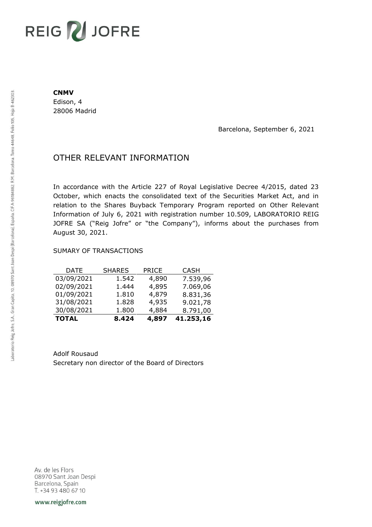# REIG V JOFRE

#### **CNMV**

Edison, 4 28006 Madrid

Barcelona, September 6, 2021

## OTHER RELEVANT INFORMATION

In accordance with the Article 227 of Royal Legislative Decree 4/2015, dated 23 October, which enacts the consolidated text of the Securities Market Act, and in relation to the Shares Buyback Temporary Program reported on Other Relevant Information of July 6, 2021 with registration number 10.509, LABORATORIO REIG JOFRE SA ("Reig Jofre" or "the Company"), informs about the purchases from August 30, 2021.

### SUMARY OF TRANSACTIONS

| <b>TOTAL</b> | 8.424         | 4,897        | 41.253,16   |
|--------------|---------------|--------------|-------------|
| 30/08/2021   | 1.800         | 4,884        | 8.791,00    |
| 31/08/2021   | 1.828         | 4,935        | 9.021,78    |
| 01/09/2021   | 1.810         | 4,879        | 8.831,36    |
| 02/09/2021   | 1.444         | 4,895        | 7.069,06    |
| 03/09/2021   | 1.542         | 4,890        | 7.539,96    |
| DATE         | <b>SHARES</b> | <b>PRICE</b> | <b>CASH</b> |

Adolf Rousaud Secretary non director of the Board of Directors

Av. de les Flors 08970 Sant Joan Despi Barcelona, Spain T. +34 93 480 67 10

www.reigjofre.com